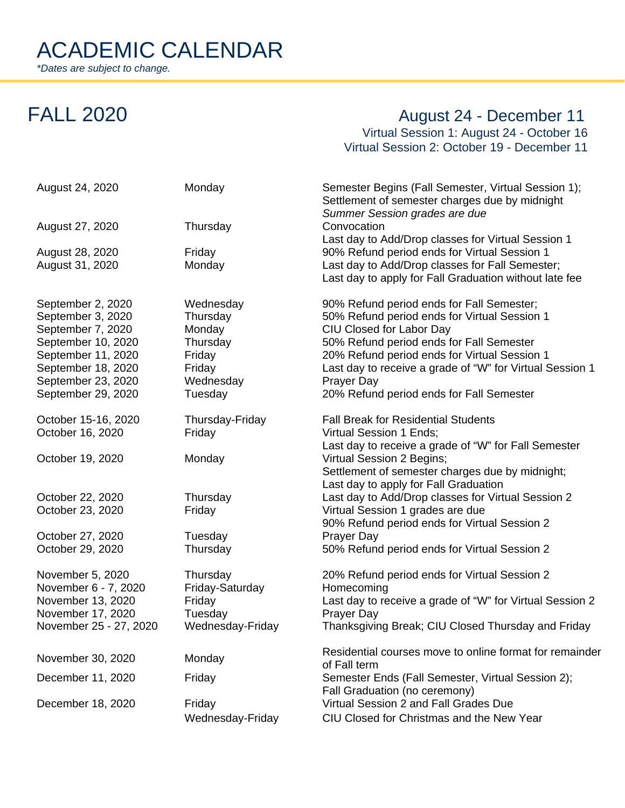## FALL 2020 **August 24 - December 11**

Virtual Session 1: August 24 - October 16 Virtual Session 2: October 19 - December 11

| August 24, 2020                                                                                                                                                           | Monday                                                                                  | Semester Begins (Fall Semester, Virtual Session 1);<br>Settlement of semester charges due by midnight<br>Summer Session grades are due                                                                                                                                                                                                  |
|---------------------------------------------------------------------------------------------------------------------------------------------------------------------------|-----------------------------------------------------------------------------------------|-----------------------------------------------------------------------------------------------------------------------------------------------------------------------------------------------------------------------------------------------------------------------------------------------------------------------------------------|
| August 27, 2020                                                                                                                                                           | Thursday                                                                                | Convocation<br>Last day to Add/Drop classes for Virtual Session 1                                                                                                                                                                                                                                                                       |
| August 28, 2020<br>August 31, 2020                                                                                                                                        | Friday<br>Monday                                                                        | 90% Refund period ends for Virtual Session 1<br>Last day to Add/Drop classes for Fall Semester;<br>Last day to apply for Fall Graduation without late fee                                                                                                                                                                               |
| September 2, 2020<br>September 3, 2020<br>September 7, 2020<br>September 10, 2020<br>September 11, 2020<br>September 18, 2020<br>September 23, 2020<br>September 29, 2020 | Wednesday<br>Thursday<br>Monday<br>Thursday<br>Friday<br>Friday<br>Wednesday<br>Tuesday | 90% Refund period ends for Fall Semester;<br>50% Refund period ends for Virtual Session 1<br>CIU Closed for Labor Day<br>50% Refund period ends for Fall Semester<br>20% Refund period ends for Virtual Session 1<br>Last day to receive a grade of "W" for Virtual Session 1<br>Prayer Day<br>20% Refund period ends for Fall Semester |
| October 15-16, 2020<br>October 16, 2020                                                                                                                                   | Thursday-Friday<br>Friday                                                               | <b>Fall Break for Residential Students</b><br>Virtual Session 1 Ends;<br>Last day to receive a grade of "W" for Fall Semester                                                                                                                                                                                                           |
| October 19, 2020                                                                                                                                                          | Monday                                                                                  | Virtual Session 2 Begins;<br>Settlement of semester charges due by midnight;<br>Last day to apply for Fall Graduation                                                                                                                                                                                                                   |
| October 22, 2020<br>October 23, 2020                                                                                                                                      | Thursday<br>Friday                                                                      | Last day to Add/Drop classes for Virtual Session 2<br>Virtual Session 1 grades are due<br>90% Refund period ends for Virtual Session 2                                                                                                                                                                                                  |
| October 27, 2020<br>October 29, 2020                                                                                                                                      | Tuesday<br>Thursday                                                                     | Prayer Day<br>50% Refund period ends for Virtual Session 2                                                                                                                                                                                                                                                                              |
| November 5, 2020<br>November 6 - 7, 2020<br>November 13, 2020<br>November 17, 2020<br>November 25 - 27, 2020                                                              | Thursday<br>Friday-Saturday<br>Friday<br>Tuesday<br>Wednesday-Friday                    | 20% Refund period ends for Virtual Session 2<br>Homecoming<br>Last day to receive a grade of "W" for Virtual Session 2<br>Prayer Day<br>Thanksgiving Break; CIU Closed Thursday and Friday                                                                                                                                              |
| November 30, 2020                                                                                                                                                         | Monday                                                                                  | Residential courses move to online format for remainder<br>of Fall term                                                                                                                                                                                                                                                                 |
| December 11, 2020                                                                                                                                                         | Friday                                                                                  | Semester Ends (Fall Semester, Virtual Session 2);<br>Fall Graduation (no ceremony)                                                                                                                                                                                                                                                      |
| December 18, 2020                                                                                                                                                         | Friday<br>Wednesday-Friday                                                              | Virtual Session 2 and Fall Grades Due<br>CIU Closed for Christmas and the New Year                                                                                                                                                                                                                                                      |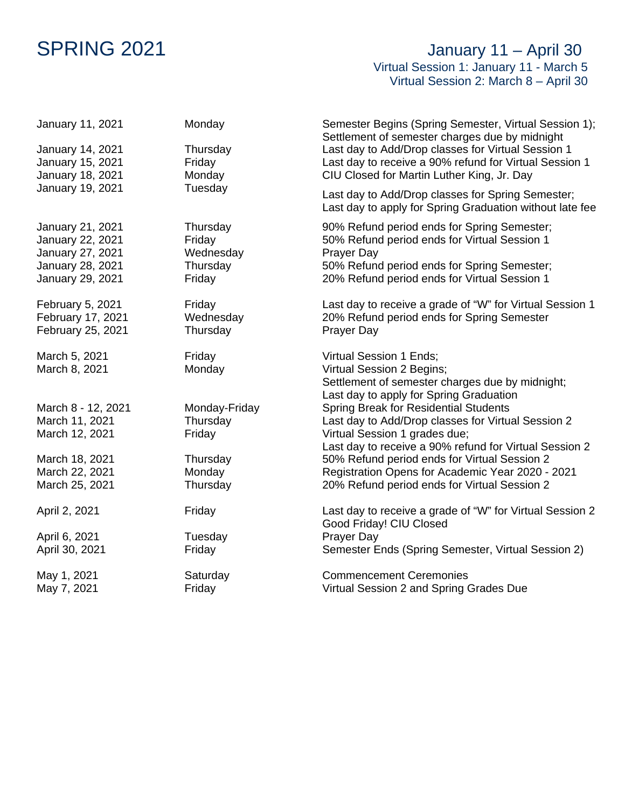## SPRING 2021 **SPRING** 2021 Virtual Session 1: January 11 - March 5 Virtual Session 2: March 8 – April 30

| January 11, 2021<br>January 14, 2021<br>January 15, 2021<br>January 18, 2021 | Monday<br>Thursday<br>Friday<br>Monday | Semester Begins (Spring Semester, Virtual Session 1);<br>Settlement of semester charges due by midnight<br>Last day to Add/Drop classes for Virtual Session 1<br>Last day to receive a 90% refund for Virtual Session 1<br>CIU Closed for Martin Luther King, Jr. Day |
|------------------------------------------------------------------------------|----------------------------------------|-----------------------------------------------------------------------------------------------------------------------------------------------------------------------------------------------------------------------------------------------------------------------|
| January 19, 2021                                                             | Tuesday                                | Last day to Add/Drop classes for Spring Semester;<br>Last day to apply for Spring Graduation without late fee                                                                                                                                                         |
| January 21, 2021                                                             | Thursday                               | 90% Refund period ends for Spring Semester;                                                                                                                                                                                                                           |
| January 22, 2021                                                             | Friday                                 | 50% Refund period ends for Virtual Session 1                                                                                                                                                                                                                          |
| January 27, 2021                                                             | Wednesday                              | Prayer Day                                                                                                                                                                                                                                                            |
| January 28, 2021                                                             | Thursday                               | 50% Refund period ends for Spring Semester;                                                                                                                                                                                                                           |
| January 29, 2021                                                             | Friday                                 | 20% Refund period ends for Virtual Session 1                                                                                                                                                                                                                          |
| February 5, 2021                                                             | Friday                                 | Last day to receive a grade of "W" for Virtual Session 1                                                                                                                                                                                                              |
| February 17, 2021                                                            | Wednesday                              | 20% Refund period ends for Spring Semester                                                                                                                                                                                                                            |
| February 25, 2021                                                            | Thursday                               | Prayer Day                                                                                                                                                                                                                                                            |
| March 5, 2021<br>March 8, 2021                                               | Friday<br>Monday                       | Virtual Session 1 Ends;<br>Virtual Session 2 Begins;<br>Settlement of semester charges due by midnight;<br>Last day to apply for Spring Graduation                                                                                                                    |
| March 8 - 12, 2021<br>March 11, 2021<br>March 12, 2021                       | Monday-Friday<br>Thursday<br>Friday    | <b>Spring Break for Residential Students</b><br>Last day to Add/Drop classes for Virtual Session 2<br>Virtual Session 1 grades due;<br>Last day to receive a 90% refund for Virtual Session 2                                                                         |
| March 18, 2021                                                               | Thursday                               | 50% Refund period ends for Virtual Session 2                                                                                                                                                                                                                          |
| March 22, 2021                                                               | Monday                                 | Registration Opens for Academic Year 2020 - 2021                                                                                                                                                                                                                      |
| March 25, 2021                                                               | Thursday                               | 20% Refund period ends for Virtual Session 2                                                                                                                                                                                                                          |
| April 2, 2021                                                                | Friday                                 | Last day to receive a grade of "W" for Virtual Session 2<br>Good Friday! CIU Closed                                                                                                                                                                                   |
| April 6, 2021                                                                | Tuesday                                | Prayer Day                                                                                                                                                                                                                                                            |
| April 30, 2021                                                               | Friday                                 | Semester Ends (Spring Semester, Virtual Session 2)                                                                                                                                                                                                                    |
| May 1, 2021                                                                  | Saturday                               | <b>Commencement Ceremonies</b>                                                                                                                                                                                                                                        |
| May 7, 2021                                                                  | Friday                                 | Virtual Session 2 and Spring Grades Due                                                                                                                                                                                                                               |